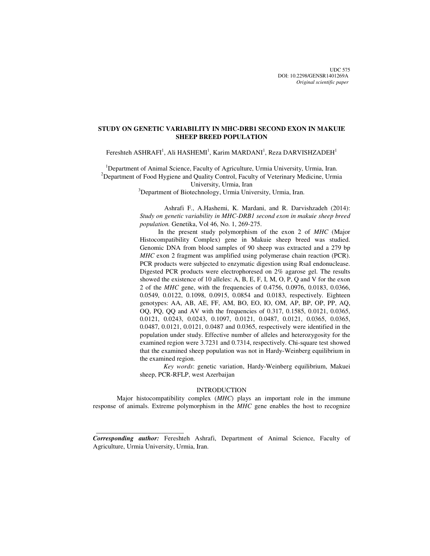UDC 575 DOI: 10.2298/GENSR1401269A *Original scientific paper*

# **STUDY ON GENETIC VARIABILITY IN MHC-DRB1 SECOND EXON IN MAKUIE SHEEP BREED POPULATION**

Fereshteh ASHRAFI<sup>1</sup>, Ali HASHEMI<sup>1</sup>, Karim MARDANI<sup>1</sup>, Reza DARVISHZADEH<sup>1</sup>

<sup>1</sup>Department of Animal Science, Faculty of Agriculture, Urmia University, Urmia, Iran. <sup>2</sup>Department of Food Hygiene and Quality Control, Faculty of Veterinary Medicine, Urmia University, Urmia, Iran <sup>3</sup>Department of Biotechnology, Urmia University, Urmia, Iran.

> Ashrafi F., A.Hashemi, K. Mardani, and R. Darvishzadeh (2014): *Study on genetic variability in MHC-DRB1 second exon in makuie sheep breed population.* Genetika, Vol 46, No. 1, 269-275.

> In the present study polymorphism of the exon 2 of *MHC* (Major Histocompatibility Complex) gene in Makuie sheep breed was studied. Genomic DNA from blood samples of 90 sheep was extracted and a 279 bp *MHC* exon 2 fragment was amplified using polymerase chain reaction (PCR). PCR products were subjected to enzymatic digestion using RsaI endonuclease. Digested PCR products were electrophoresed on 2% agarose gel. The results showed the existence of 10 alleles: A, B, E, F, I, M, O, P, Q and V for the exon 2 of the *MHC* gene, with the frequencies of 0.4756, 0.0976, 0.0183, 0.0366, 0.0549, 0.0122, 0.1098, 0.0915, 0.0854 and 0.0183, respectively. Eighteen genotypes: AA, AB, AE, FF, AM, BO, EO, IO, OM, AP, BP, OP, PP, AQ, OQ, PQ, QQ and AV with the frequencies of 0.317, 0.1585, 0.0121, 0.0365, 0.0121, 0.0243, 0.0243, 0.1097, 0.0121, 0.0487, 0.0121, 0.0365, 0.0365, 0.0487, 0.0121, 0.0121, 0.0487 and 0.0365, respectively were identified in the population under study. Effective number of alleles and heterozygosity for the examined region were 3.7231 and 0.7314, respectively. Chi-square test showed that the examined sheep population was not in Hardy-Weinberg equilibrium in the examined region.

> *Key words*: genetic variation, Hardy-Weinberg equilibrium, Makuei sheep, PCR-RFLP, west Azerbaijan

## **INTRODUCTION**

Major histocompatibility complex (*MHC*) plays an important role in the immune response of animals. Extreme polymorphism in the *MHC* gene enables the host to recognize

*Corresponding author:* Fereshteh Ashrafi, Department of Animal Science, Faculty of Agriculture, Urmia University, Urmia, Iran.

 $\frac{1}{\sqrt{2\pi}}\left[\frac{1}{2(1-2\pi)^2}\left(1-\frac{1}{2(1-2\pi)^2}\left(1-\frac{1}{2(1-2\pi)^2}\right)\right)\right],$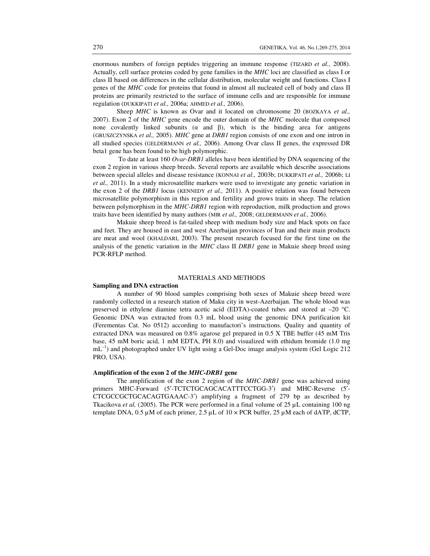enormous numbers of foreign peptides triggering an immune response (TIZARD *et al.,* 2008). Actually, cell surface proteins coded by gene families in the *MHC* loci are classified as class I or class II based on differences in the cellular distribution, molecular weight and functions. Class I genes of the *MHC* code for proteins that found in almost all nucleated cell of body and class II proteins are primarily restricted to the surface of immune cells and are responsible for immune regulation (DUKKIPATI *et al.,* 2006a; AHMED *et al.,* 2006).

Sheep *MHC* is known as Ovar and it located on chromosome 20 (BOZKAYA *et al.*, 2007). Exon 2 of the *MHC* gene encode the outer domain of the *MHC* molecule that composed none covalently linked subunits  $(\alpha \text{ and } \beta)$ , which is the binding area for antigens (GRUSZCZYNSKA *et al.,* 2005). *MHC* gene at *DRB1* region consists of one exon and one intron in all studied species (GELDERMANN *et al.,* 2006). Among Ovar class II genes, the expressed DR beta1 gene has been found to be high polymorphic.

 To date at least 160 *Ovar-DRB1* alleles have been identified by DNA sequencing of the exon 2 region in various sheep breeds. Several reports are available which describe associations between special alleles and disease resistance (KONNAI *et al.,* 2003b; DUKKIPATI *et al.,* 2006b; LI *et al.,* 2011). In a study microsatellite markers were used to investigate any genetic variation in the exon 2 of the *DRB1* locus (KENNEDY *et al.,* 2011). A positive relation was found between microsatellite polymorphism in this region and fertility and grows traits in sheep. The relation between polymorphism in the *MHC-DRB1* region with reproduction, milk production and grows traits have been identified by many authors (MIR *et al.,* 2008; GELDERMANN *et al.,* 2006).

Makuie sheep breed is fat-tailed sheep with medium body size and black spots on face and feet. They are housed in east and west Azerbaijan provinces of Iran and their main products are meat and wool (KHALDARI, 2003). The present research focused for the first time on the analysis of the genetic variation in the *MHC* class II *DRB1* gene in Makuie sheep breed using PCR-RFLP method.

## MATERIALS AND METHODS

### **Sampling and DNA extraction**

A number of 90 blood samples comprising both sexes of Makuie sheep breed were randomly collected in a research station of Maku city in west-Azerbaijan. The whole blood was preserved in ethylene diamine tetra acetic acid (EDTA)-coated tubes and stored at –20 °C. Genomic DNA was extracted from 0.3 mL blood using the genomic DNA purification kit (Ferementas Cat. No 0512) according to manufactori's instructions. Quality and quantity of extracted DNA was measured on 0.8% agarose gel prepared in 0.5 X TBE buffer (45 mM Tris base, 45 mM boric acid, 1 mM EDTA, PH 8.0) and visualized with ethidum bromide (1.0 mg  $mL^{-1}$ ) and photographed under UV light using a Gel-Doc image analysis system (Gel Logic 212) PRO, USA).

### **Amplification of the exon 2 of the** *MHC-DRB1* **gene**

The amplification of the exon 2 region of the *MHC-DRB1* gene was achieved using primers MHC-Forward (5′-TCTCTGCAGCACATTTCCTGG-3′) and MHC-Reverse (5′- CTCGCCGCTGCACAGTGAAAC-3′) amplifying a fragment of 279 bp as described by Tkacikova *et al*, (2005). The PCR were performed in a final volume of 25 µL containing 100 ng template DNA,  $0.5 \mu M$  of each primer,  $2.5 \mu L$  of  $10 \times PCR$  buffer,  $25 \mu M$  each of dATP, dCTP,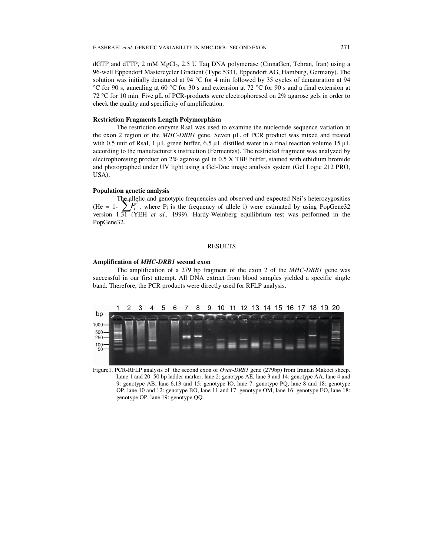dGTP and dTTP, 2 mM MgCl<sub>2</sub>, 2.5 U Taq DNA polymerase (CinnaGen, Tehran, Iran) using a 96-well Eppendorf Mastercycler Gradient (Type 5331, Eppendorf AG, Hamburg, Germany). The solution was initially denatured at 94 °C for 4 min followed by 35 cycles of denaturation at 94 °C for 90 s, annealing at 60 °C for 30 s and extension at 72 °C for 90 s and a final extension at 72 °C for 10 min. Five µL of PCR-products were electrophoresed on 2% agarose gels in order to check the quality and specificity of amplification.

## **Restriction Fragments Length Polymorphism**

The restriction enzyme RsaI was used to examine the nucleotide sequence variation at the exon 2 region of the *MHC-DRB1* gene. Seven µL of PCR product was mixed and treated with 0.5 unit of RsaI, 1  $\mu$ L green buffer, 6.5  $\mu$ L distilled water in a final reaction volume 15  $\mu$ L according to the manufacturer's instruction (Fermentas). The restricted fragment was analyzed by electrophoresing product on 2% agarose gel in 0.5 X TBE buffer, stained with ethidium bromide and photographed under UV light using a Gel-Doc image analysis system (Gel Logic 212 PRO, USA).

#### **Population genetic analysis**

The allelic and genotypic frequencies and observed and expected Nei's heterozygosities (He = 1-  $\sum P_i^2$ , where  $P_i$  is the frequency of allele i) were estimated by using PopGene32 version 1.31 (YEH *et al.,* 1999). Hardy-Weinberg equilibrium test was performed in the PopGene32.

#### RESULTS

#### **Amplification of** *MHC-DRB1* **second exon**

The amplification of a 279 bp fragment of the exon 2 of the *MHC-DRB1* gene was successful in our first attempt. All DNA extract from blood samples yielded a specific single band. Therefore, the PCR products were directly used for RFLP analysis.



Figure1. PCR-RFLP analysis of the second exon of *Ovar-DRB1* gene (279bp) from Iranian Makoei sheep. Lane 1 and 20: 50 bp ladder marker, lane 2: genotype AE, lane 3 and 14: genotype AA, lane 4 and 9: genotype AB, lane 6,13 and 15: genotype IO, lane 7: genotype PQ, lane 8 and 18: genotype OP, lane 10 and 12: genotype BO, lane 11 and 17: genotype OM, lane 16: genotype EO, lane 18: genotype OP, lane 19: genotype QQ.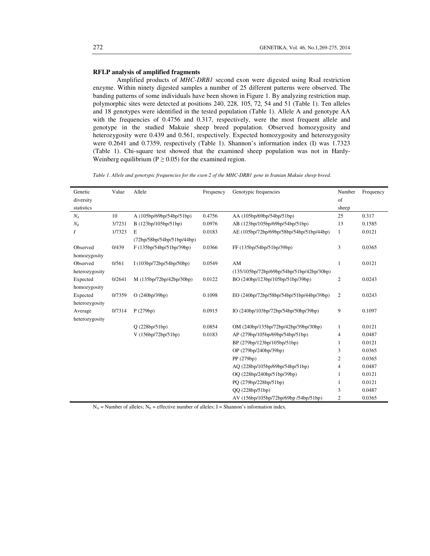## **RFLP analysis of amplified fragments**

Amplified products of *MHC-DRB1* second exon were digested using RsaI restriction enzyme. Within ninety digested samples a number of 25 different patterns were observed. The banding patterns of some individuals have been shown in Figure 1. By analyzing restriction map, polymorphic sites were detected at positions 240, 228, 105, 72, 54 and 51 (Table 1). Ten alleles and 18 genotypes were identified in the tested population (Table 1). Allele A and genotype AA with the frequencies of 0.4756 and 0.317, respectively, were the most frequent allele and genotype in the studied Makuie sheep breed population. Observed homozygosity and heterozygosity were 0.439 and 0.561, respectively. Expected homozygosity and heterozygosity were 0.2641 and 0.7359, respectively (Table 1). Shannon's information index (I) was 1.7323 (Table 1). Chi-square test showed that the examined sheep population was not in Hardy-Weinberg equilibrium ( $P \ge 0.05$ ) for the examined region.

*Table 1. Allele and genotypic frequencies for the exon 2 of the MHC-DRB1 gene in Iranian Makuie sheep breed.* 

| Genetic        | Value  | Allele                     | Frequency | Genotypic frequencies                       | Number         | Frequency |
|----------------|--------|----------------------------|-----------|---------------------------------------------|----------------|-----------|
| diversity      |        |                            |           |                                             | of             |           |
| statistics     |        |                            |           |                                             | sheep          |           |
| $N_A$          | 10     | A (105bp/69bp/54bp/51bp)   | 0.4756    | AA (105bp/69bp/54bp/51bp)                   | 25             | 0.317     |
| $N_E$          | 3/7231 | B (123bp/105bp/51bp)       | 0.0976    | AB (123bp/105bp/69bp/54bp/51bp)             | 13             | 0.1585    |
| Ι              | 1/7323 | E                          | 0.0183    | AE (105bp/72bp/69bp/58bp/54bp/51bp/44bp)    | 1              | 0.0121    |
|                |        | (72bp/58bp/54bp/51bp/44bp) |           |                                             |                |           |
| Observed       | 0/439  | F(135bp/54bp/51bp/39bp)    | 0.0366    | FF (135bp/54bp/51bp/39bp)                   | 3              | 0.0365    |
| homozygosity   |        |                            |           |                                             |                |           |
| Observed       | 0/561  | I (103bp/72bp/54bp/50bp)   | 0.0549    | AM                                          | 1              | 0.0121    |
| heterozygosity |        |                            |           | $(135/105bp/72bp/69bp/54bp/51bp/42bp/30bp)$ |                |           |
| Expected       | 0/2641 | M (135bp/72bp/42bp/30bp)   | 0.0122    | BO (240bp/123bp/105bp/51bp/39bp)            | $\overline{c}$ | 0.0243    |
| homozygosity   |        |                            |           |                                             |                |           |
| Expected       | 0/7359 | O (240bp/39bp)             | 0.1098    | EO (240bp/72bp/58bp/54bp/51bp/44bp/39bp)    | 2              | 0.0243    |
| heterozygosity |        |                            |           |                                             |                |           |
| Average        | 0/7314 | P(279bp)                   | 0.0915    | IO (240bp/103bp/72bp/54bp/50bp/39bp)        | 9              | 0.1097    |
| heterozygosity |        |                            |           |                                             |                |           |
|                |        | Q(228bp/51bp)              | 0.0854    | OM (240bp/135bp/72bp/42bp/39bp/30bp)        | $\mathbf{1}$   | 0.0121    |
|                |        | V (156bp/72bp/51bp)        | 0.0183    | AP (279bp/105bp/69bp/54bp/51bp)             | 4              | 0.0487    |
|                |        |                            |           | BP (279bp/123bp/105bp/51bp)                 | 1              | 0.0121    |
|                |        |                            |           | OP (279bp/240bp/39bp)                       | 3              | 0.0365    |
|                |        |                            |           | PP (279bp)                                  | $\overline{2}$ | 0.0365    |
|                |        |                            |           | AQ (228bp/105bp/69bp/54bp/51bp)             | 4              | 0.0487    |
|                |        |                            |           | OQ (228bp/240bp/51bp/39bp)                  | 1              | 0.0121    |
|                |        |                            |           | PQ (279bp/228bp/51bp)                       | 1              | 0.0121    |
|                |        |                            |           | OO (228bp/51bp)                             | 3              | 0.0487    |
|                |        |                            |           | AV (156bp/105bp/72bp/69bp /54bp/51bp)       | 2              | 0.0365    |

 $N_A$  = Number of alleles;  $N_E$  = effective number of alleles; I = Shannon's information index.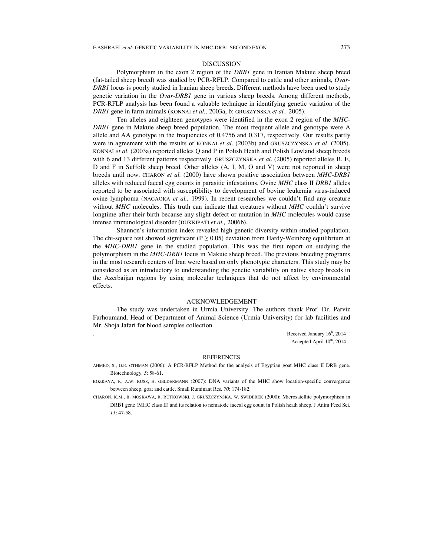#### DISCUSSION

Polymorphism in the exon 2 region of the *DRB1* gene in Iranian Makuie sheep breed (fat-tailed sheep breed) was studied by PCR-RFLP. Compared to cattle and other animals, *Ovar-DRB1* locus is poorly studied in Iranian sheep breeds. Different methods have been used to study genetic variation in the *Ovar-DRB1* gene in various sheep breeds. Among different methods, PCR-RFLP analysis has been found a valuable technique in identifying genetic variation of the *DRB1* gene in farm animals (KONNAI *et al.,* 2003a, b; GRUSZYNSKA *et al.,* 2005).

Ten alleles and eighteen genotypes were identified in the exon 2 region of the *MHC-DRB1* gene in Makuie sheep breed population. The most frequent allele and genotype were A allele and AA genotype in the frequencies of 0.4756 and 0.317, respectively. Our results partly were in agreement with the results of KONNAI *et al*. (2003b) and GRUSZCZYNSKA *et al*. (2005). KONNAI *et al*. (2003a) reported alleles Q and P in Polish Heath and Polish Lowland sheep breeds with 6 and 13 different patterns respectively. GRUSZCZYNSKA *et al*. (2005) reported alleles B, E, D and F in Suffolk sheep breed. Other alleles  $(A, I, M, O, A)$  were not reported in sheep breeds until now. CHARON *et al.* (2000) have shown positive association between *MHC-DRB1* alleles with reduced faecal egg counts in parasitic infestations. Ovine *MHC* class II *DRB1* alleles reported to be associated with susceptibility to development of bovine leukemia virus-induced ovine lymphoma (NAGAOKA *et al.,* 1999). In recent researches we couldn't find any creature without *MHC* molecules. This truth can indicate that creatures without *MHC* couldn't survive longtime after their birth because any slight defect or mutation in *MHC* molecules would cause intense immunological disorder (DUKKIPATI *et al.,* 2006b).

Shannon's information index revealed high genetic diversity within studied population. The chi-square test showed significant ( $P \ge 0.05$ ) deviation from Hardy-Weinberg equilibrium at the *MHC-DRB1* gene in the studied population. This was the first report on studying the polymorphism in the *MHC-DRB1* locus in Makuie sheep breed. The previous breeding programs in the most research centers of Iran were based on only phenotypic characters. This study may be considered as an introductory to understanding the genetic variability on native sheep breeds in the Azerbaijan regions by using molecular techniques that do not affect by environmental effects.

### ACKNOWLEDGEMENT

The study was undertaken in Urmia University. The authors thank Prof. Dr. Parviz Farhoumand, Head of Department of Animal Science (Urmia University) for lab facilities and Mr. Shoja Jafari for blood samples collection.

 $\text{Received January } 16^{\text{h}}$ , 2014 Accepted April  $10^{th}$ , 2014

#### REFERENCES

- AHMED, S., O.E. OTHMAN (2006): A PCR-RFLP Method for the analysis of Egyptian goat MHC class II DRB gene. Biotechnology. *5*: 58-61.
- BOZKAYA, F., A.W. KUSS, H. GELDERMANN (2007): DNA variants of the MHC show location-specific convergence between sheep, goat and cattle. Small Ruminant Res. *70*: 174-182.
- CHARON, K.M., B. MOSKAWA, R. RUTKOWSKI, J. GRUSZCZYNSKA, W. SWIDEREK (2000): Microsatellite polymorphism in DRB1 gene (MHC class II) and its relation to nematode faecal egg count in Polish heath sheep. J Anim Feed Sci. *11*: 47-58.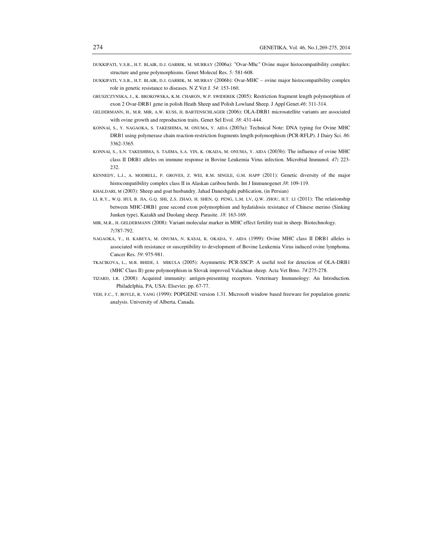- DUKKIPATI, V.S.R., H.T. BLAIR, D.J. GARRIK, M. MURRAY (2006a): "Ovar-Mhc" Ovine major histocompatibility complex: structure and gene polymorphisms. Genet Molecul Res. *5:* 581-608.
- DUKKIPATI, V.S.R., H.T. BLAIR, D.J. GARRIK, M. MURRAY (2006b): Ovar-MHC ovine major histocompatibility complex role in genetic resistance to diseases. N Z Vet J. *54*: 153-160.
- GRUSZCZYNSKA, J., K. BROKOWSKA, K.M. CHARON, W.P. SWIDEREK (2005): Restriction fragment length polymorphism of exon 2 Ovar-DRB1 gene in polish Heath Sheep and Polish Lowland Sheep. J Appl Genet.*46*: 311-314.
- GELDERMANN, H., M.R. MIR, A.W. KUSS, H. BARTENSCHLAGER (2006): OLA-DRB1 microsatellite variants are associated with ovine growth and reproduction traits. Genet Sel Evol. *38*: 431-444.
- KONNAI, S., Y. NAGAOKA, S. TAKESHIMA, M. ONUMA, Y. AIDA (2003a): Technical Note: DNA typing for Ovine MHC DRB1 using polymerase chain reaction-restriction fragments length polymorphism (PCR-RFLP). J Dairy Sci. *86*: 3362-3365.
- KONNAI, S., S.N. TAKESHIMA, S. TAJIMA, S.A. YIN, K. OKADA, M. ONUMA, Y. AIDA (2003b): The influence of ovine MHC class II DRB1 alleles on immune response in Bovine Leukemia Virus infection. Microbial Immunol*. 47***:** 223- 232.
- KENNEDY, L.J., A. MODRELL, P. GROVES, Z. WEI, R.M. SINGLE, G.M. HAPP (2011): Genetic diversity of the major histocompatibility complex class II in Alaskan caribou herds. Int J Immunogenet *38*: 109-119.
- KHALDARI, M (2003): Sheep and goat husbandry. Jahad Daneshgahi publication, (in Persian)
- LI, R.Y., W.Q. HUI, B. JIA, G.Q. SHI, Z.S. ZHAO, H. SHEN, Q. PENG, L.M. LV, Q.W. ZHOU, H.T. LI (2011): The relationship between MHC-DRB1 gene second exon polymorphism and hydatidosis resistance of Chinese merino (Sinking Junken type), Kazakh and Duolang sheep. Parasite. *18*: 163-169.
- MIR, M.R., H. GELDERMANN (2008): Variant molecular marker in MHC effect fertility trait in sheep. Biotechnology. *7***:**787-792.
- NAGAOKA, Y., H. KABEYA, M. ONUMA, N. KASAI, K. OKADA, Y. AIDA (1999): Ovine MHC class II DRB1 alleles is associated with resistance or susceptibility to development of Bovine Leukemia Virus induced ovine lymphoma. Cancer Res. *59*: 975-981.
- TKACIKOVA, L., M.R. BHIDE, I. MIKULA (2005): Asymmetric PCR-SSCP: A useful tool for detection of OLA-DRB1 (MHC Class II) gene polymorphism in Slovak improved Valachian sheep. Acta Vet Brno. *74*:275-278.
- TIZARD, I.R. (2008): Acquired immunity: antigen-presenting receptors. Veterinary Immunology: An Introduction. Philadelphia, PA, USA: Elsevier. pp. 67-77.
- YEH, F.C., T. BOYLE, R. YANG (1999): POPGENE version 1.31. Microsoft window based freeware for population genetic analysis. University of Alberta, Canada.